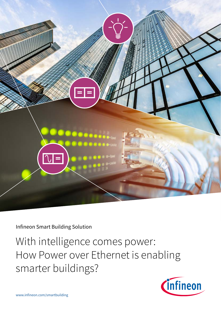

Infineon Smart Building Solution

With intelligence comes power: How Power over Ethernet is enabling smarter buildings?

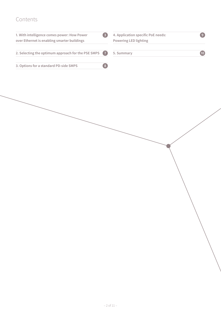# Contents

| 1. With intelligence comes power: How Power<br>over Ethernet is enabling smarter buildings | 4. Application specific PoE needs:<br>-3<br><b>Powering LED lighting</b> |  |
|--------------------------------------------------------------------------------------------|--------------------------------------------------------------------------|--|
| 2. Selecting the optimum approach for the PSE SMPS                                         | $\sqrt{7}$<br>5. Summary                                                 |  |
|                                                                                            | 8 <sup>°</sup>                                                           |  |
| 3. Options for a standard PD-side SMPS                                                     |                                                                          |  |
|                                                                                            |                                                                          |  |
|                                                                                            |                                                                          |  |
|                                                                                            |                                                                          |  |
|                                                                                            |                                                                          |  |
|                                                                                            |                                                                          |  |
|                                                                                            |                                                                          |  |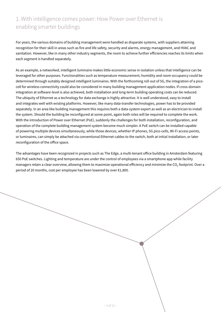# 1. With intelligence comes power: How Power over Ethernet is enabling smarter buildings

For years, the various domains of building management were handled as disparate systems, with suppliers attaining recognition for their skill in areas such as fire and life safety, security and alarms, energy management, and HVAC and sanitation. However, like in many other industry segments, the room to achieve further efficiencies reaches its limits when each segment is handled separately.

As an example, a networked, intelligent luminaire makes little economic sense in isolation unless that intelligence can be leveraged for other purposes. Functionalities such as temperature measurement, humidity and room occupancy could be determined through suitably designed intelligent luminaires. With the forthcoming roll-out of 5G, the integration of a picocell for wireless connectivity could also be considered in many building management application nodes. If cross-domain integration at software-level is also achieved, both installation and long-term building operating costs can be reduced. The ubiquity of Ethernet as a technology for data exchange is highly attractive. It is well understood, easy to install and integrates well with existing platforms. However, like many data-transfer technologies, power has to be provided separately. In an area like building management this requires both a data-system expert as well as an electrician to install the system. Should the building be reconfigured at some point, again both roles will be required to complete the work. With the introduction of Power over Ethernet (PoE), suddenly the challenges for both installation, reconfiguration, and operation of the complete building management system become much simpler. A PoE switch can be installed capable of powering multiple devices simultaneously, while those devices, whether IP phones, 5G pico-cells, Wi-Fi access points, or luminaires, can simply be attached via conventional Ethernet cables to the switch, both at initial installation, or later reconfiguration of the office space.

The advantages have been recognized in projects such as The Edge, a multi-tenant office building in Amsterdam featuring 650 PoE switches. Lighting and temperature are under the control of employees via a smartphone app while facility managers retain a clear overview, allowing them to maximize operational efficiency and minimize the  $CO<sub>2</sub>$  footprint. Over a period of 20 months, cost per employee has been lowered by over €1,800.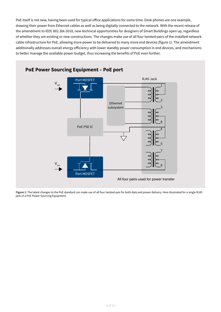PoE itself is not new, having been used for typical office applications for some time. Desk phones are one example, drawing their power from Ethernet cables as well as being digitally connected to the network. With the recent release of the amendment to IEEE 802.3bt-2018, new technical opportunities for designers of Smart Buildings open up, regardless of whether they are existing or new constructions. The changes make use of all four twisted pairs of the installed network cable infrastructure for PoE, allowing more power to be delivered to many more end devices (figure 1). The amendment additionally addresses overall energy efficiency with lower standby power consumption in end devices, and mechanisms to better manage the available power budget, thus increasing the benefits of PoE even further.



**Figure 1:** The latest changes to the PoE standard can make use of all four twisted-pair for both data and power delivery. Here illustrated for a single RJ45 jack of a PoE Power Sourcing Equipment.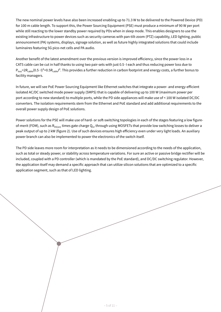The new nominal power levels have also been increased enabling up to 71.3 W to be delivered to the Powered Device (PD) for 100 m cable length. To support this, the Power Sourcing Equipment (PSE) must produce a minimum of 90 W per port while still reacting to the lower standby power required by PDs when in sleep mode. This enables designers to use the existing infrastructure to power devices such as security cameras with pan-tilt-zoom (PTZ) capability, LED lighting, public announcement (PA) systems, displays, signage solution, as well as future highly integrated solutions that could include luminaires featuring 5G pico-net cells and PA audio.

Another benefit of the latest amendment over the previous version is improved efficiency, since the power loss in a CAT5 cable can be cut in half thanks to using two pair-sets with just 0.5∙I each and thus reducing power loss due to P<sub>loss</sub>=2R<sub>cable</sub>(0.5⋅I)<sup>2</sup>=0.5R<sub>cable</sub><sup>1</sup>. This provides a further reduction in carbon footprint and energy costs, a further bonus to facility managers.

In future, we will see PoE Power Sourcing Equipment like Ethernet switches that integrate a power- and energy-efficient isolated AC/DC switched mode power supply (SMPS) that is capable of delivering up to 100 W (maximum power per port according to new standard) to multiple ports, while the PD side appliances will make use of < 100 W isolated DC/DC converters. The isolation requirements stem from the Ethernet and PoE standard and add additional requirements to the overall power supply design of PoE solutions.

Power solutions for the PSE will make use of hard- or soft-switching topologies in each of the stages featuring a low figureof-merit (FOM), such as R<sub>DS(on)</sub> times gate charge Q<sub>G</sub>, through using MOSFETs that provide low switching losses to deliver a peak output of up to 2 kW (figure 2). Use of such devices ensures high efficiency even under very light loads. An auxiliary power branch can also be implemented to power the electronics of the switch itself.

The PD side leaves more room for interpretation as it needs to be dimensioned according to the needs of the application, such as total or steady power, or stability across temperature variations. For sure an active or passive bridge rectifier will be included, coupled with a PD controller (which is mandated by the PoE standard), and DC/DC switching regulator. However, the application itself may demand a specific approach that can utilize silicon solutions that are optimized to a specific application segment, such as that of LED lighting.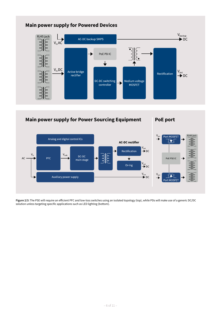

#### **Main power supply for Powered Devices**



**Figure 2/3:** The PSE will require an efficient PFC and low-loss switches using an isolated topology (top), while PDs will make use of a generic DC/DC solution unless targeting specific applications such as LED lighting (bottom).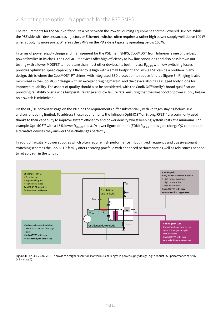### 2. Selecting the optimum approach for the PSE SMPS

The requirements for the SMPS differ quite a bit between the Power Sourcing Equipment and the Powered Devices. While the PSE side with devices such as injectors or Ethernet switches often requires a rather high power supply well above 100 W when supplying more ports. Whereas the SMPS on the PD side is typically operating below 100 W.

In terms of power supply design and management for the PSE main SMPS, CoolMOS™ from Infineon is one of the best power families in its class. The CoolMOS™ devices offer high efficiency at low line conditions and also pass brown out testing with a lower MOSFET temperature than most other devices. Its best-in-class  $R_{DS(on)}$  with low switching losses provides optimized speed capability. Efficiency is high with a small footprint and, while ESD can be a problem in any design, this is where the CoolMOS™ P7 shines, with integrated ESD protection to reduce failures (figure 3). Ringing is also minimized in the CoolMOS™ design with an excellent ringing margin, and the device also has a rugged body diode for improved reliability. The aspect of quality should also be considered, with the CoolMOS™ family's broad qualification providing reliability over a wide temperature range and low failure rate, ensuring that the likelihood of power supply failure on a switch is minimized.

On the DC/DC converter stage on the PD side the requirements differ substantially with voltages staying below 60 V and current being limited. To address these requirements the Infineon OptiMOS™ or StrongIRFET™ are commonly used thanks to their capability to improve system efficiency and power density whilst keeping system costs at a minimum. For example OptiMOS™ with a 15% lower R<sub>DS(on)</sub> and 31% lower figure-of-merit (FOM) R<sub>DS(on)</sub> times gate charge QG compared to alternative devices they answer these challenges perfectly.

In addition auxiliary power supplies which often require high performance in both fixed frequency and quasi-resonant switching schemes the CoolSET™ family offers a strong portfolio with enhanced performance as well as robustness needed to reliably run in the long run.



**Figure 4:** The 600 V CoolMOS P7 provides designers solutions for various challenges in power supply design, e.g. a robust ESD performance of >2 kV (HBM class 2)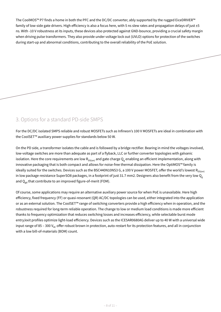The CoolMOS™ P7 finds a home in both the PFC and the DC/DC converter, ably supported by the rugged EiceDRIVER™ family of low-side gate drivers. High efficiency is also a focus here, with 5 ns slew rates and propagation delays of just ±5 ns. With -10 V robustness at its inputs, these devices also protected against GND-bounce, providing a crucial safety margin when driving pulse transformers. They also provide under voltage lock out (UVLO) options for protection of the switches during start-up and abnormal conditions, contributing to the overall reliability of the PoE solution.

#### 3. Options for a standard PD-side SMPS

For the DC/DC isolated SMPS reliable and robust MOSFETs such as Infineon's 100 V MOSFETs are ideal in combination with the CoolSET™ auxiliary power supplies for standards below 50 W.

On the PD side, a transformer isolates the cable and is followed by a bridge rectifier. Bearing in mind the voltages involved, low-voltage switches are more than adequate as part of a flyback, LLC or further converter topologies with galvanic isolation. Here the core requirements are low  $R_{DS(on)}$  and gate charge  $Q_g$  enabling an efficient implementation, along with innovative packaging that is both compact and allows for noise-free thermal dissipation. Here the OptiMOS™ family is ideally suited for the switches. Devices such as the BSC440N10NS3 G, a 100 V power MOSFET, offer the world's lowest  $R_{DS(on)}$ in low package-resistance SuperSO8 packages, in a footprint of just 31.7 mm2. Designers also benefit from the very low  $Q_g$ and  $Q_{gd}$  that contribute to an improved figure-of-merit (FOM).

Of course, some applications may require an alternative auxiliary power source for when PoE is unavailable. Here high efficiency, fixed frequency (FF) or quasi-resonant (QR) AC/DC topologies can be used, either integrated into the application or as an external solution. The CoolSET™ range of switching converters provide a high efficiency when in operation, and the robustness required for long-term reliable operation. The change to low or medium load conditions is made more efficient thanks to frequency optimization that reduces switching losses and increases efficiency, while selectable burst mode entry/exit profiles optimize light-load efficiency. Devices such as the ICE5AR0680AG deliver up to 40 W with a universal wide input range of 85 – 300  $V_{AC}$  offer robust brown in protection, auto-restart for its protection features, and all in conjunction with a low bill-of-materials (BOM) count.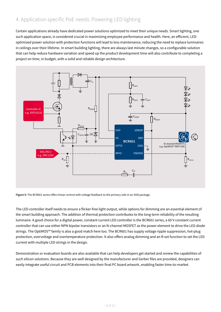# 4. Application specific PoE needs: Powering LED lighting

Certain applications already have dedicated power solutions optimized to meet their unique needs. Smart lighting, one such application space, is considered crucial in maximizing employee performance and health. Here, an efficient, LEDoptimized power solution with protection functions will lead to less maintenance, reducing the need to replace luminaires in ceilings over their lifetime. In smart building lighting, there are always last minute changes, so a configurable solution that can help reduce hardware variation and speed up the product development time will also contribute to completing a project on time, in budget, with a solid and reliable design architecture.



**Figure 5:** The BCR601 series offers linear control with voltage feedback to the primary side in an SO8 package.

The LED controller itself needs to ensure a flicker-free light output, while options for dimming are an essential element of the smart building approach. The addition of thermal protection contributes to the long-term reliability of the resulting luminaire. A good choice for a digital power, constant current LED controller is the BCR601 series, a 60 V constant current controller that can use either NPN bipolar transistors or an N-channel MOSFET as the power element to drive the LED diode strings. The OptiMOS™ family is also a good match here too. The BCR601 has supply voltage ripple suppression, hot-plug protection, overvoltage and overtemperature protection. It also offers analog dimming and an R-set function to set the LED current with multiple LED strings in the design.

Demonstration or evaluation boards are also available that can help developers get started and review the capabilities of such silicon solutions. Because they are well designed by the manufacturer and Gerber files are provided, designers can easily integrate useful circuit and PCB elements into their final PC board artwork, enabling faster time-to-market.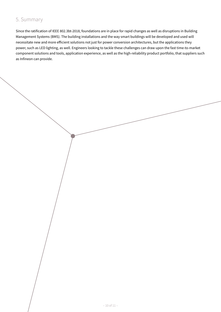### 5. Summary

Since the ratification of IEEE 802.3bt-2018, foundations are in place for rapid changes as well as disruptions in Building Management Systems (BMS). The building installations and the way smart buildings will be developed and used will necessitate new and more efficient solutions not just for power conversion architectures, but the applications they power, such as LED lighting, as well. Engineers looking to tackle these challenges can draw upon the fast time-to-market component solutions and tools, application experience, as well as the high-reliability product portfolio, that suppliers such as Infineon can provide.